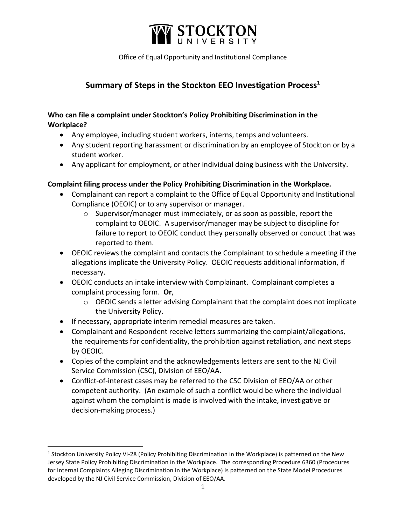

Office of Equal Opportunity and Institutional Compliance

# **Summary of Steps in the Stockton EEO Investigation Process<sup>1</sup>**

## **Who can file a complaint under Stockton's Policy Prohibiting Discrimination in the Workplace?**

- Any employee, including student workers, interns, temps and volunteers.
- Any student reporting harassment or discrimination by an employee of Stockton or by a student worker.
- Any applicant for employment, or other individual doing business with the University.

### **Complaint filing process under the Policy Prohibiting Discrimination in the Workplace.**

- Complainant can report a complaint to the Office of Equal Opportunity and Institutional Compliance (OEOIC) or to any supervisor or manager.
	- $\circ$  Supervisor/manager must immediately, or as soon as possible, report the complaint to OEOIC. A supervisor/manager may be subject to discipline for failure to report to OEOIC conduct they personally observed or conduct that was reported to them.
- OEOIC reviews the complaint and contacts the Complainant to schedule a meeting if the allegations implicate the University Policy. OEOIC requests additional information, if necessary.
- OEOIC conducts an intake interview with Complainant. Complainant completes a complaint processing form. **Or**,
	- o OEOIC sends a letter advising Complainant that the complaint does not implicate the University Policy.
- If necessary, appropriate interim remedial measures are taken.
- Complainant and Respondent receive letters summarizing the complaint/allegations, the requirements for confidentiality, the prohibition against retaliation, and next steps by OEOIC.
- Copies of the complaint and the acknowledgements letters are sent to the NJ Civil Service Commission (CSC), Division of EEO/AA.
- Conflict-of-interest cases may be referred to the CSC Division of EEO/AA or other competent authority. (An example of such a conflict would be where the individual against whom the complaint is made is involved with the intake, investigative or decision-making process.)

<sup>&</sup>lt;sup>1</sup> Stockton University Policy VI-28 (Policy Prohibiting Discrimination in the Workplace) is patterned on the New Jersey State Policy Prohibiting Discrimination in the Workplace. The corresponding Procedure 6360 (Procedures for Internal Complaints Alleging Discrimination in the Workplace) is patterned on the State Model Procedures developed by the NJ Civil Service Commission, Division of EEO/AA.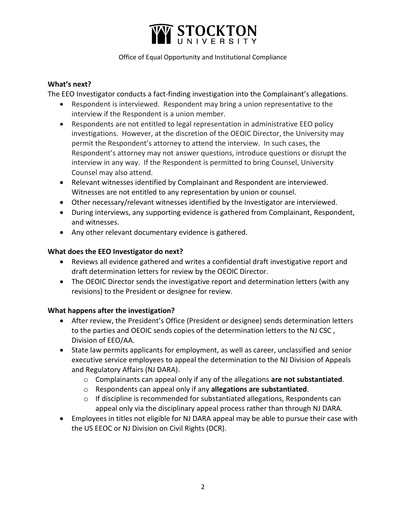

Office of Equal Opportunity and Institutional Compliance

#### **What's next?**

The EEO Investigator conducts a fact-finding investigation into the Complainant's allegations.

- Respondent is interviewed. Respondent may bring a union representative to the interview if the Respondent is a union member.
- Respondents are not entitled to legal representation in administrative EEO policy investigations. However, at the discretion of the OEOIC Director, the University may permit the Respondent's attorney to attend the interview. In such cases, the Respondent's attorney may not answer questions, introduce questions or disrupt the interview in any way. If the Respondent is permitted to bring Counsel, University Counsel may also attend.
- Relevant witnesses identified by Complainant and Respondent are interviewed. Witnesses are not entitled to any representation by union or counsel.
- Other necessary/relevant witnesses identified by the Investigator are interviewed.
- During interviews, any supporting evidence is gathered from Complainant, Respondent, and witnesses.
- Any other relevant documentary evidence is gathered.

#### **What does the EEO Investigator do next?**

- Reviews all evidence gathered and writes a confidential draft investigative report and draft determination letters for review by the OEOIC Director.
- The OEOIC Director sends the investigative report and determination letters (with any revisions) to the President or designee for review.

### **What happens after the investigation?**

- After review, the President's Office (President or designee) sends determination letters to the parties and OEOIC sends copies of the determination letters to the NJ CSC , Division of EEO/AA.
- State law permits applicants for employment, as well as career, unclassified and senior executive service employees to appeal the determination to the NJ Division of Appeals and Regulatory Affairs (NJ DARA).
	- o Complainants can appeal only if any of the allegations **are not substantiated**.
	- o Respondents can appeal only if any **allegations are substantiated**.
	- $\circ$  If discipline is recommended for substantiated allegations, Respondents can appeal only via the disciplinary appeal process rather than through NJ DARA.
- Employees in titles not eligible for NJ DARA appeal may be able to pursue their case with the US EEOC or NJ Division on Civil Rights (DCR).